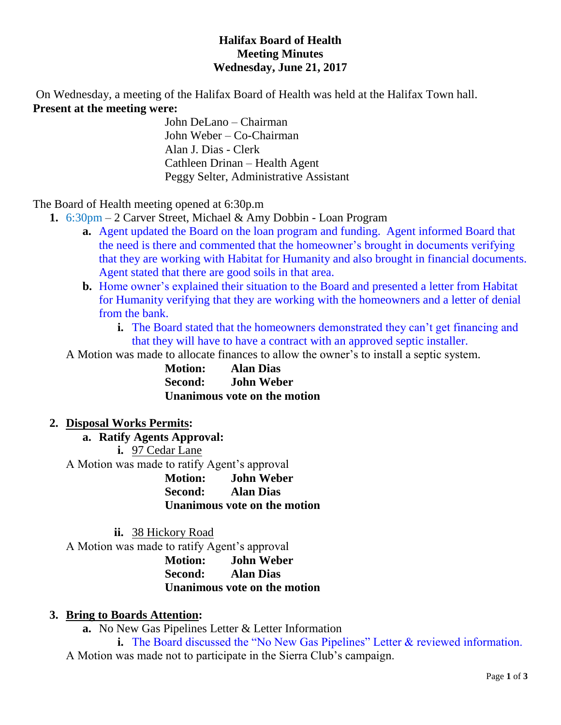### **Halifax Board of Health Meeting Minutes Wednesday, June 21, 2017**

On Wednesday, a meeting of the Halifax Board of Health was held at the Halifax Town hall. **Present at the meeting were:**

John DeLano – Chairman John Weber – Co-Chairman Alan J. Dias - Clerk Cathleen Drinan – Health Agent Peggy Selter, Administrative Assistant

The Board of Health meeting opened at 6:30p.m

- **1.** 6:30pm 2 Carver Street, Michael & Amy Dobbin Loan Program
	- **a.** Agent updated the Board on the loan program and funding. Agent informed Board that the need is there and commented that the homeowner's brought in documents verifying that they are working with Habitat for Humanity and also brought in financial documents. Agent stated that there are good soils in that area.
	- **b.** Home owner's explained their situation to the Board and presented a letter from Habitat for Humanity verifying that they are working with the homeowners and a letter of denial from the bank.
		- **i.** The Board stated that the homeowners demonstrated they can't get financing and that they will have to have a contract with an approved septic installer.

A Motion was made to allocate finances to allow the owner's to install a septic system.

**Motion: Alan Dias Second: John Weber Unanimous vote on the motion**

### **2. Disposal Works Permits:**

**a. Ratify Agents Approval: i.** 97 Cedar Lane A Motion was made to ratify Agent's approval **Motion: John Weber Second: Alan Dias Unanimous vote on the motion**

**ii.** 38 Hickory Road

A Motion was made to ratify Agent's approval

**Motion: John Weber Second: Alan Dias Unanimous vote on the motion**

# **3. Bring to Boards Attention:**

**a.** No New Gas Pipelines Letter & Letter Information

**i.** The Board discussed the "No New Gas Pipelines" Letter & reviewed information. A Motion was made not to participate in the Sierra Club's campaign.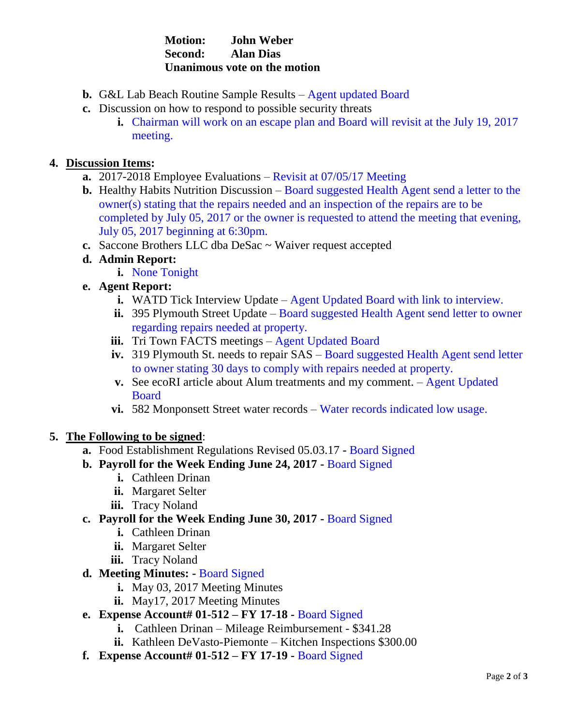### **Motion: John Weber Second: Alan Dias Unanimous vote on the motion**

- **b.** G&L Lab Beach Routine Sample Results Agent updated Board
- **c.** Discussion on how to respond to possible security threats
	- **i.** Chairman will work on an escape plan and Board will revisit at the July 19, 2017 meeting.

#### **4. Discussion Items:**

- **a.** 2017-2018 Employee Evaluations Revisit at 07/05/17 Meeting
- **b.** Healthy Habits Nutrition Discussion Board suggested Health Agent send a letter to the owner(s) stating that the repairs needed and an inspection of the repairs are to be completed by July 05, 2017 or the owner is requested to attend the meeting that evening, July 05, 2017 beginning at 6:30pm.
- **c.** Saccone Brothers LLC dba DeSac ~ Waiver request accepted
- **d. Admin Report:**
	- **i.** None Tonight
- **e. Agent Report:**
	- **i.** WATD Tick Interview Update Agent Updated Board with link to interview.
	- **ii.** 395 Plymouth Street Update Board suggested Health Agent send letter to owner regarding repairs needed at property.
	- **iii.** Tri Town FACTS meetings Agent Updated Board
	- **iv.** 319 Plymouth St. needs to repair SAS Board suggested Health Agent send letter to owner stating 30 days to comply with repairs needed at property.
	- **v.** See ecoRI article about Alum treatments and my comment. Agent Updated Board
	- **vi.** 582 Monponsett Street water records Water records indicated low usage.

### **5. The Following to be signed**:

- **a.** Food Establishment Regulations Revised 05.03.17 **-** Board Signed
- **b. Payroll for the Week Ending June 24, 2017 -** Board Signed
	- **i.** Cathleen Drinan
	- **ii.** Margaret Selter
	- **iii.** Tracy Noland
- **c. Payroll for the Week Ending June 30, 2017 -** Board Signed
	- **i.** Cathleen Drinan
	- **ii.** Margaret Selter
	- **iii.** Tracy Noland
- **d. Meeting Minutes: -** Board Signed
	- **i.** May 03, 2017 Meeting Minutes
	- **ii.** May17, 2017 Meeting Minutes
- **e. Expense Account# 01-512 – FY 17-18 -** Board Signed
	- **i.** Cathleen Drinan Mileage Reimbursement \$341.28
	- **ii.** Kathleen DeVasto-Piemonte Kitchen Inspections \$300.00
- **f. Expense Account# 01-512 – FY 17-19 -** Board Signed